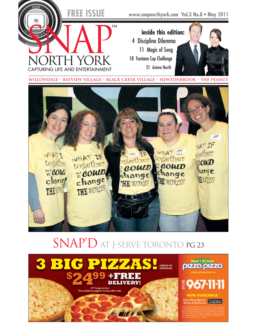